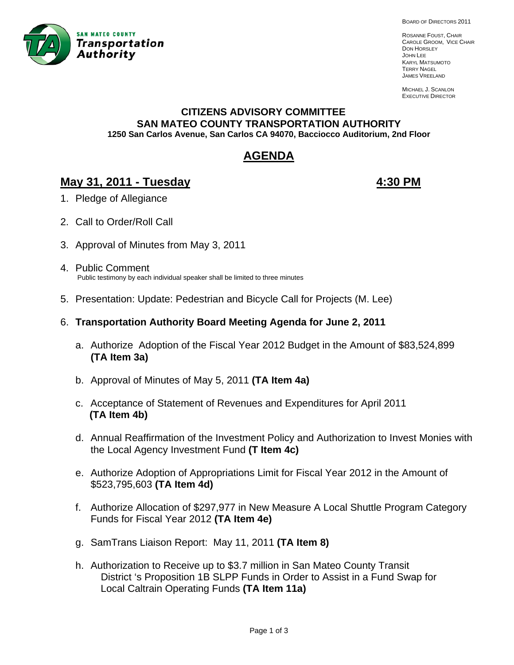

BOARD OF DIRECTORS 2011

ROSANNE FOUST, CHAIR CAROLE GROOM, VICE CHAIR DON HORSLEY JOHN LEE KARYL MATSUMOTO TERRY NAGEL JAMES VREELAND

MICHAEL J. SCANLON EXECUTIVE DIRECTOR

# **CITIZENS ADVISORY COMMITTEE SAN MATEO COUNTY TRANSPORTATION AUTHORITY 1250 San Carlos Avenue, San Carlos CA 94070, Bacciocco Auditorium, 2nd Floor**

# **AGENDA**

# **May 31, 2011 - Tuesday 4:30 PM**

- 1. Pledge of Allegiance
- 2. Call to Order/Roll Call
- 3. Approval of Minutes from May 3, 2011
- 4. Public Comment Public testimony by each individual speaker shall be limited to three minutes
- 5. Presentation: Update: Pedestrian and Bicycle Call for Projects (M. Lee)
- 6. **Transportation Authority Board Meeting Agenda for June 2, 2011**
	- a. Authorize Adoption of the Fiscal Year 2012 Budget in the Amount of \$83,524,899 **(TA Item 3a)**
	- b. Approval of Minutes of May 5, 2011 **(TA Item 4a)**
	- c. Acceptance of Statement of Revenues and Expenditures for April 2011  **(TA Item 4b)**
	- d. Annual Reaffirmation of the Investment Policy and Authorization to Invest Monies with the Local Agency Investment Fund **(T Item 4c)**
	- e. Authorize Adoption of Appropriations Limit for Fiscal Year 2012 in the Amount of \$523,795,603 **(TA Item 4d)**
	- f. Authorize Allocation of \$297,977 in New Measure A Local Shuttle Program Category Funds for Fiscal Year 2012 **(TA Item 4e)**
	- g. SamTrans Liaison Report: May 11, 2011 **(TA Item 8)**
	- h. Authorization to Receive up to \$3.7 million in San Mateo County Transit District 's Proposition 1B SLPP Funds in Order to Assist in a Fund Swap for Local Caltrain Operating Funds **(TA Item 11a)**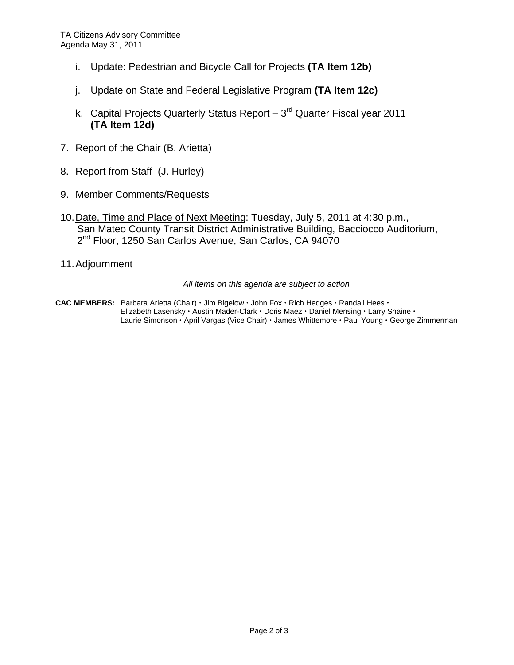- i. Update: Pedestrian and Bicycle Call for Projects **(TA Item 12b)**
- j. Update on State and Federal Legislative Program **(TA Item 12c)**
- k. Capital Projects Quarterly Status Report  $-3<sup>rd</sup>$  Quarter Fiscal year 2011 **(TA Item 12d)**
- 7. Report of the Chair (B. Arietta)
- 8. Report from Staff (J. Hurley)
- 9. Member Comments/Requests
- 10. Date, Time and Place of Next Meeting: Tuesday, July 5, 2011 at 4:30 p.m., San Mateo County Transit District Administrative Building, Bacciocco Auditorium, 2<sup>nd</sup> Floor, 1250 San Carlos Avenue, San Carlos, CA 94070
- 11. Adjournment

#### *All items on this agenda are subject to action*

**CAC MEMBERS:** Barbara Arietta (Chair) · Jim Bigelow · John Fox · Rich Hedges · Randall Hees · Elizabeth Lasensky · Austin Mader-Clark · Doris Maez · Daniel Mensing · Larry Shaine · Laurie Simonson · April Vargas (Vice Chair) · James Whittemore · Paul Young · George Zimmerman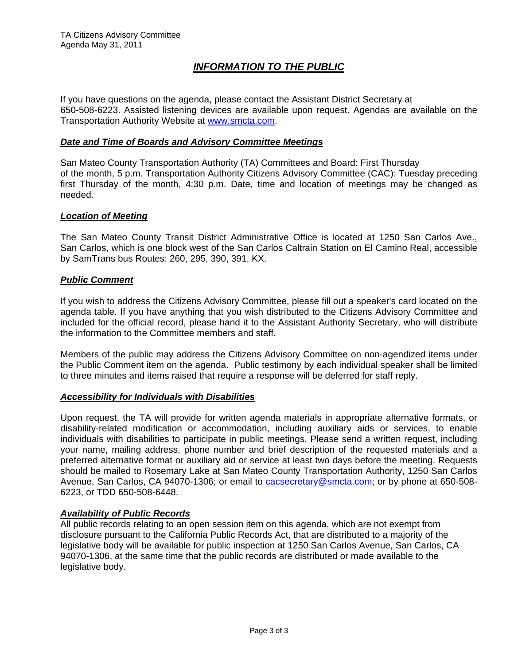# *INFORMATION TO THE PUBLIC*

If you have questions on the agenda, please contact the Assistant District Secretary at 650-508-6223. Assisted listening devices are available upon request. Agendas are available on the Transportation Authority Website at [www.smcta.com.](http://www.smcta.com/)

#### *Date and Time of Boards and Advisory Committee Meetings*

San Mateo County Transportation Authority (TA) Committees and Board: First Thursday of the month, 5 p.m. Transportation Authority Citizens Advisory Committee (CAC): Tuesday preceding first Thursday of the month, 4:30 p.m. Date, time and location of meetings may be changed as needed.

#### *Location of Meeting*

The San Mateo County Transit District Administrative Office is located at 1250 San Carlos Ave., San Carlos, which is one block west of the San Carlos Caltrain Station on El Camino Real, accessible by SamTrans bus Routes: 260, 295, 390, 391, KX.

#### *Public Comment*

If you wish to address the Citizens Advisory Committee, please fill out a speaker's card located on the agenda table. If you have anything that you wish distributed to the Citizens Advisory Committee and included for the official record, please hand it to the Assistant Authority Secretary, who will distribute the information to the Committee members and staff.

Members of the public may address the Citizens Advisory Committee on non-agendized items under the Public Comment item on the agenda. Public testimony by each individual speaker shall be limited to three minutes and items raised that require a response will be deferred for staff reply.

#### *Accessibility for Individuals with Disabilities*

Upon request, the TA will provide for written agenda materials in appropriate alternative formats, or disability-related modification or accommodation, including auxiliary aids or services, to enable individuals with disabilities to participate in public meetings. Please send a written request, including your name, mailing address, phone number and brief description of the requested materials and a preferred alternative format or auxiliary aid or service at least two days before the meeting. Requests should be mailed to Rosemary Lake at San Mateo County Transportation Authority, 1250 San Carlos Avenue, San Carlos, CA 94070-1306; or email to [cacsecretary@smcta.com](mailto:cacsecretary@smcta.com); or by phone at 650-508- 6223, or TDD 650-508-6448.

#### *Availability of Public Records*

All public records relating to an open session item on this agenda, which are not exempt from disclosure pursuant to the California Public Records Act, that are distributed to a majority of the legislative body will be available for public inspection at 1250 San Carlos Avenue, San Carlos, CA 94070-1306, at the same time that the public records are distributed or made available to the legislative body.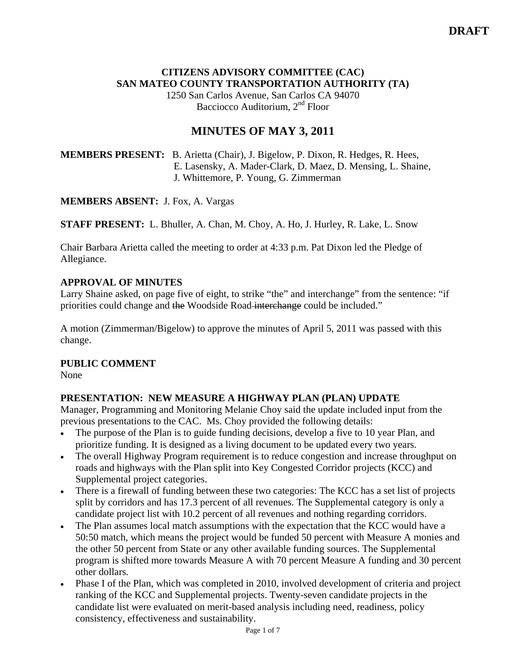# **CITIZENS ADVISORY COMMITTEE (CAC) SAN MATEO COUNTY TRANSPORTATION AUTHORITY (TA)**

1250 San Carlos Avenue, San Carlos CA 94070 Bacciocco Auditorium, 2<sup>nd</sup> Floor

# **MINUTES OF MAY 3, 2011**

# **MEMBERS PRESENT:** B. Arietta (Chair), J. Bigelow, P. Dixon, R. Hedges, R. Hees, E. Lasensky, A. Mader-Clark, D. Maez, D. Mensing, L. Shaine, J. Whittemore, P. Young, G. Zimmerman

**MEMBERS ABSENT:** J. Fox, A. Vargas

**STAFF PRESENT:** L. Bhuller, A. Chan, M. Choy, A. Ho, J. Hurley, R. Lake, L. Snow

Chair Barbara Arietta called the meeting to order at 4:33 p.m. Pat Dixon led the Pledge of Allegiance.

# **APPROVAL OF MINUTES**

Larry Shaine asked, on page five of eight, to strike "the" and interchange" from the sentence: "if priorities could change and the Woodside Road interchange could be included."

A motion (Zimmerman/Bigelow) to approve the minutes of April 5, 2011 was passed with this change.

# **PUBLIC COMMENT**

None

# **PRESENTATION: NEW MEASURE A HIGHWAY PLAN (PLAN) UPDATE**

Manager, Programming and Monitoring Melanie Choy said the update included input from the previous presentations to the CAC. Ms. Choy provided the following details:

- The purpose of the Plan is to guide funding decisions, develop a five to 10 year Plan, and prioritize funding. It is designed as a living document to be updated every two years.
- The overall Highway Program requirement is to reduce congestion and increase throughput on roads and highways with the Plan split into Key Congested Corridor projects (KCC) and Supplemental project categories.
- There is a firewall of funding between these two categories: The KCC has a set list of projects split by corridors and has 17.3 percent of all revenues. The Supplemental category is only a candidate project list with 10.2 percent of all revenues and nothing regarding corridors.
- The Plan assumes local match assumptions with the expectation that the KCC would have a 50:50 match, which means the project would be funded 50 percent with Measure A monies and the other 50 percent from State or any other available funding sources. The Supplemental program is shifted more towards Measure A with 70 percent Measure A funding and 30 percent other dollars.
- Phase I of the Plan, which was completed in 2010, involved development of criteria and project ranking of the KCC and Supplemental projects. Twenty-seven candidate projects in the candidate list were evaluated on merit-based analysis including need, readiness, policy consistency, effectiveness and sustainability.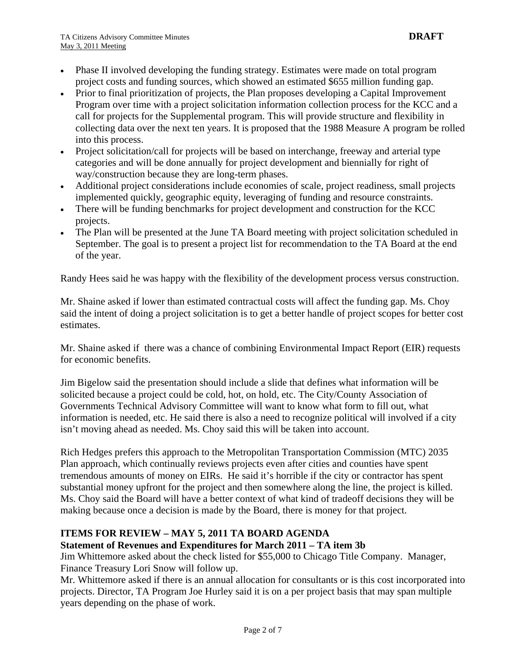- Phase II involved developing the funding strategy. Estimates were made on total program project costs and funding sources, which showed an estimated \$655 million funding gap.
- Prior to final prioritization of projects, the Plan proposes developing a Capital Improvement Program over time with a project solicitation information collection process for the KCC and a call for projects for the Supplemental program. This will provide structure and flexibility in collecting data over the next ten years. It is proposed that the 1988 Measure A program be rolled into this process.
- Project solicitation/call for projects will be based on interchange, freeway and arterial type categories and will be done annually for project development and biennially for right of way/construction because they are long-term phases.
- Additional project considerations include economies of scale, project readiness, small projects implemented quickly, geographic equity, leveraging of funding and resource constraints.
- There will be funding benchmarks for project development and construction for the KCC projects.
- The Plan will be presented at the June TA Board meeting with project solicitation scheduled in September. The goal is to present a project list for recommendation to the TA Board at the end of the year.

Randy Hees said he was happy with the flexibility of the development process versus construction.

Mr. Shaine asked if lower than estimated contractual costs will affect the funding gap. Ms. Choy said the intent of doing a project solicitation is to get a better handle of project scopes for better cost estimates.

Mr. Shaine asked if there was a chance of combining Environmental Impact Report (EIR) requests for economic benefits.

Jim Bigelow said the presentation should include a slide that defines what information will be solicited because a project could be cold, hot, on hold, etc. The City/County Association of Governments Technical Advisory Committee will want to know what form to fill out, what information is needed, etc. He said there is also a need to recognize political will involved if a city isn't moving ahead as needed. Ms. Choy said this will be taken into account.

Rich Hedges prefers this approach to the Metropolitan Transportation Commission (MTC) 2035 Plan approach, which continually reviews projects even after cities and counties have spent tremendous amounts of money on EIRs. He said it's horrible if the city or contractor has spent substantial money upfront for the project and then somewhere along the line, the project is killed. Ms. Choy said the Board will have a better context of what kind of tradeoff decisions they will be making because once a decision is made by the Board, there is money for that project.

# **ITEMS FOR REVIEW – MAY 5, 2011 TA BOARD AGENDA**

# **Statement of Revenues and Expenditures for March 2011 – TA item 3b**

Jim Whittemore asked about the check listed for \$55,000 to Chicago Title Company. Manager, Finance Treasury Lori Snow will follow up.

Mr. Whittemore asked if there is an annual allocation for consultants or is this cost incorporated into projects. Director, TA Program Joe Hurley said it is on a per project basis that may span multiple years depending on the phase of work.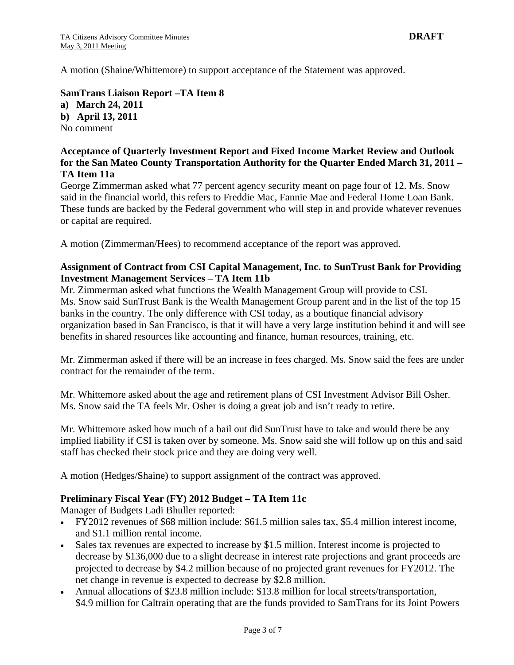A motion (Shaine/Whittemore) to support acceptance of the Statement was approved.

**SamTrans Liaison Report –TA Item 8 a) March 24, 2011 b) April 13, 2011**  No comment

# **Acceptance of Quarterly Investment Report and Fixed Income Market Review and Outlook for the San Mateo County Transportation Authority for the Quarter Ended March 31, 2011 – TA Item 11a**

George Zimmerman asked what 77 percent agency security meant on page four of 12. Ms. Snow said in the financial world, this refers to Freddie Mac, Fannie Mae and Federal Home Loan Bank. These funds are backed by the Federal government who will step in and provide whatever revenues or capital are required.

A motion (Zimmerman/Hees) to recommend acceptance of the report was approved.

# **Assignment of Contract from CSI Capital Management, Inc. to SunTrust Bank for Providing Investment Management Services – TA Item 11b**

Mr. Zimmerman asked what functions the Wealth Management Group will provide to CSI. Ms. Snow said SunTrust Bank is the Wealth Management Group parent and in the list of the top 15 banks in the country. The only difference with CSI today, as a boutique financial advisory organization based in San Francisco, is that it will have a very large institution behind it and will see benefits in shared resources like accounting and finance, human resources, training, etc.

Mr. Zimmerman asked if there will be an increase in fees charged. Ms. Snow said the fees are under contract for the remainder of the term.

Mr. Whittemore asked about the age and retirement plans of CSI Investment Advisor Bill Osher. Ms. Snow said the TA feels Mr. Osher is doing a great job and isn't ready to retire.

Mr. Whittemore asked how much of a bail out did SunTrust have to take and would there be any implied liability if CSI is taken over by someone. Ms. Snow said she will follow up on this and said staff has checked their stock price and they are doing very well.

A motion (Hedges/Shaine) to support assignment of the contract was approved.

# **Preliminary Fiscal Year (FY) 2012 Budget – TA Item 11c**

Manager of Budgets Ladi Bhuller reported:

- FY2012 revenues of \$68 million include: \$61.5 million sales tax, \$5.4 million interest income, and \$1.1 million rental income.
- Sales tax revenues are expected to increase by \$1.5 million. Interest income is projected to decrease by \$136,000 due to a slight decrease in interest rate projections and grant proceeds are projected to decrease by \$4.2 million because of no projected grant revenues for FY2012. The net change in revenue is expected to decrease by \$2.8 million.
- Annual allocations of \$23.8 million include: \$13.8 million for local streets/transportation, \$4.9 million for Caltrain operating that are the funds provided to SamTrans for its Joint Powers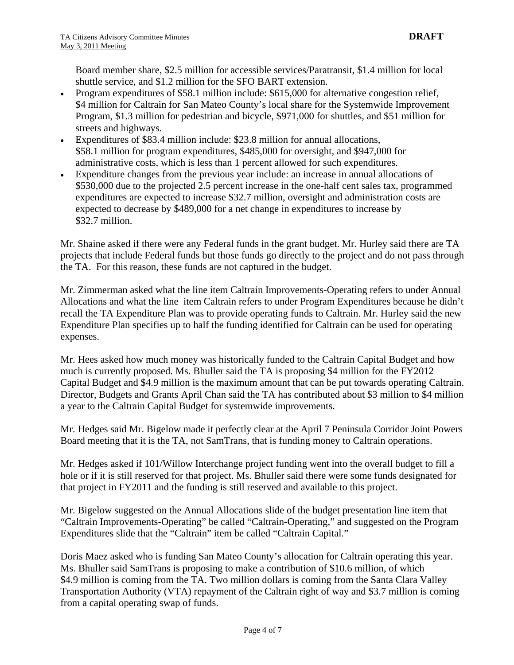Board member share, \$2.5 million for accessible services/Paratransit, \$1.4 million for local shuttle service, and \$1.2 million for the SFO BART extension.

- Program expenditures of \$58.1 million include: \$615,000 for alternative congestion relief, \$4 million for Caltrain for San Mateo County's local share for the Systemwide Improvement Program, \$1.3 million for pedestrian and bicycle, \$971,000 for shuttles, and \$51 million for streets and highways.
- Expenditures of \$83.4 million include: \$23.8 million for annual allocations, \$58.1 million for program expenditures, \$485,000 for oversight, and \$947,000 for administrative costs, which is less than 1 percent allowed for such expenditures.
- Expenditure changes from the previous year include: an increase in annual allocations of \$530,000 due to the projected 2.5 percent increase in the one-half cent sales tax, programmed expenditures are expected to increase \$32.7 million, oversight and administration costs are expected to decrease by \$489,000 for a net change in expenditures to increase by \$32.7 million.

Mr. Shaine asked if there were any Federal funds in the grant budget. Mr. Hurley said there are TA projects that include Federal funds but those funds go directly to the project and do not pass through the TA. For this reason, these funds are not captured in the budget.

Mr. Zimmerman asked what the line item Caltrain Improvements-Operating refers to under Annual Allocations and what the line item Caltrain refers to under Program Expenditures because he didn't recall the TA Expenditure Plan was to provide operating funds to Caltrain. Mr. Hurley said the new Expenditure Plan specifies up to half the funding identified for Caltrain can be used for operating expenses.

Mr. Hees asked how much money was historically funded to the Caltrain Capital Budget and how much is currently proposed. Ms. Bhuller said the TA is proposing \$4 million for the FY2012 Capital Budget and \$4.9 million is the maximum amount that can be put towards operating Caltrain. Director, Budgets and Grants April Chan said the TA has contributed about \$3 million to \$4 million a year to the Caltrain Capital Budget for systemwide improvements.

Mr. Hedges said Mr. Bigelow made it perfectly clear at the April 7 Peninsula Corridor Joint Powers Board meeting that it is the TA, not SamTrans, that is funding money to Caltrain operations.

Mr. Hedges asked if 101/Willow Interchange project funding went into the overall budget to fill a hole or if it is still reserved for that project. Ms. Bhuller said there were some funds designated for that project in FY2011 and the funding is still reserved and available to this project.

Mr. Bigelow suggested on the Annual Allocations slide of the budget presentation line item that "Caltrain Improvements-Operating" be called "Caltrain-Operating," and suggested on the Program Expenditures slide that the "Caltrain" item be called "Caltrain Capital."

Doris Maez asked who is funding San Mateo County's allocation for Caltrain operating this year. Ms. Bhuller said SamTrans is proposing to make a contribution of \$10.6 million, of which \$4.9 million is coming from the TA. Two million dollars is coming from the Santa Clara Valley Transportation Authority (VTA) repayment of the Caltrain right of way and \$3.7 million is coming from a capital operating swap of funds.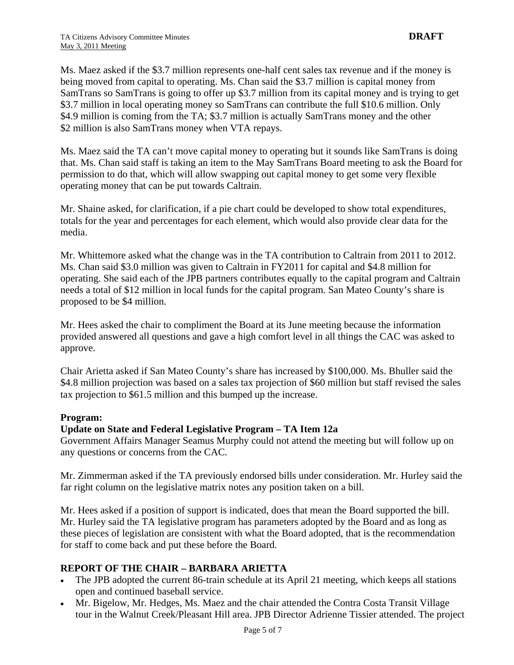Ms. Maez asked if the \$3.7 million represents one-half cent sales tax revenue and if the money is being moved from capital to operating. Ms. Chan said the \$3.7 million is capital money from SamTrans so SamTrans is going to offer up \$3.7 million from its capital money and is trying to get \$3.7 million in local operating money so SamTrans can contribute the full \$10.6 million. Only \$4.9 million is coming from the TA; \$3.7 million is actually SamTrans money and the other \$2 million is also SamTrans money when VTA repays.

Ms. Maez said the TA can't move capital money to operating but it sounds like SamTrans is doing that. Ms. Chan said staff is taking an item to the May SamTrans Board meeting to ask the Board for permission to do that, which will allow swapping out capital money to get some very flexible operating money that can be put towards Caltrain.

Mr. Shaine asked, for clarification, if a pie chart could be developed to show total expenditures, totals for the year and percentages for each element, which would also provide clear data for the media.

Mr. Whittemore asked what the change was in the TA contribution to Caltrain from 2011 to 2012. Ms. Chan said \$3.0 million was given to Caltrain in FY2011 for capital and \$4.8 million for operating. She said each of the JPB partners contributes equally to the capital program and Caltrain needs a total of \$12 million in local funds for the capital program. San Mateo County's share is proposed to be \$4 million.

Mr. Hees asked the chair to compliment the Board at its June meeting because the information provided answered all questions and gave a high comfort level in all things the CAC was asked to approve.

Chair Arietta asked if San Mateo County's share has increased by \$100,000. Ms. Bhuller said the \$4.8 million projection was based on a sales tax projection of \$60 million but staff revised the sales tax projection to \$61.5 million and this bumped up the increase.

# **Program:**

# **Update on State and Federal Legislative Program – TA Item 12a**

Government Affairs Manager Seamus Murphy could not attend the meeting but will follow up on any questions or concerns from the CAC.

Mr. Zimmerman asked if the TA previously endorsed bills under consideration. Mr. Hurley said the far right column on the legislative matrix notes any position taken on a bill.

Mr. Hees asked if a position of support is indicated, does that mean the Board supported the bill. Mr. Hurley said the TA legislative program has parameters adopted by the Board and as long as these pieces of legislation are consistent with what the Board adopted, that is the recommendation for staff to come back and put these before the Board.

# **REPORT OF THE CHAIR – BARBARA ARIETTA**

- The JPB adopted the current 86-train schedule at its April 21 meeting, which keeps all stations open and continued baseball service.
- Mr. Bigelow, Mr. Hedges, Ms. Maez and the chair attended the Contra Costa Transit Village tour in the Walnut Creek/Pleasant Hill area. JPB Director Adrienne Tissier attended. The project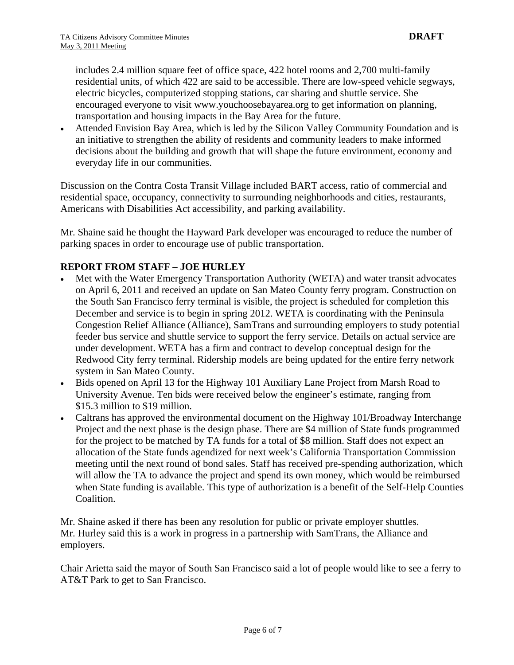includes 2.4 million square feet of office space, 422 hotel rooms and 2,700 multi-family residential units, of which 422 are said to be accessible. There are low-speed vehicle segways, electric bicycles, computerized stopping stations, car sharing and shuttle service. She encouraged everyone to visit [www.youchoosebayarea.org](http://www.youchoosebayarea.org/) to get information on planning, transportation and housing impacts in the Bay Area for the future.

• Attended Envision Bay Area, which is led by the Silicon Valley Community Foundation and is an initiative to strengthen the ability of residents and community leaders to make informed decisions about the building and growth that will shape the future environment, economy and everyday life in our communities.

Discussion on the Contra Costa Transit Village included BART access, ratio of commercial and residential space, occupancy, connectivity to surrounding neighborhoods and cities, restaurants, Americans with Disabilities Act accessibility, and parking availability.

Mr. Shaine said he thought the Hayward Park developer was encouraged to reduce the number of parking spaces in order to encourage use of public transportation.

# **REPORT FROM STAFF – JOE HURLEY**

- Met with the Water Emergency Transportation Authority (WETA) and water transit advocates on April 6, 2011 and received an update on San Mateo County ferry program. Construction on the South San Francisco ferry terminal is visible, the project is scheduled for completion this December and service is to begin in spring 2012. WETA is coordinating with the Peninsula Congestion Relief Alliance (Alliance), SamTrans and surrounding employers to study potential feeder bus service and shuttle service to support the ferry service. Details on actual service are under development. WETA has a firm and contract to develop conceptual design for the Redwood City ferry terminal. Ridership models are being updated for the entire ferry network system in San Mateo County.
- Bids opened on April 13 for the Highway 101 Auxiliary Lane Project from Marsh Road to University Avenue. Ten bids were received below the engineer's estimate, ranging from \$15.3 million to \$19 million.
- Caltrans has approved the environmental document on the Highway 101/Broadway Interchange Project and the next phase is the design phase. There are \$4 million of State funds programmed for the project to be matched by TA funds for a total of \$8 million. Staff does not expect an allocation of the State funds agendized for next week's California Transportation Commission meeting until the next round of bond sales. Staff has received pre-spending authorization, which will allow the TA to advance the project and spend its own money, which would be reimbursed when State funding is available. This type of authorization is a benefit of the Self-Help Counties Coalition.

Mr. Shaine asked if there has been any resolution for public or private employer shuttles. Mr. Hurley said this is a work in progress in a partnership with SamTrans, the Alliance and employers.

Chair Arietta said the mayor of South San Francisco said a lot of people would like to see a ferry to AT&T Park to get to San Francisco.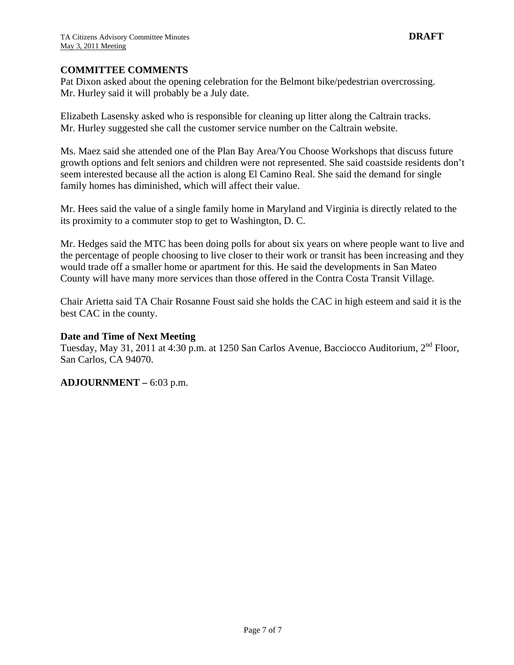#### **COMMITTEE COMMENTS**

Pat Dixon asked about the opening celebration for the Belmont bike/pedestrian overcrossing. Mr. Hurley said it will probably be a July date.

Elizabeth Lasensky asked who is responsible for cleaning up litter along the Caltrain tracks. Mr. Hurley suggested she call the customer service number on the Caltrain website.

Ms. Maez said she attended one of the Plan Bay Area/You Choose Workshops that discuss future growth options and felt seniors and children were not represented. She said coastside residents don't seem interested because all the action is along El Camino Real. She said the demand for single family homes has diminished, which will affect their value.

Mr. Hees said the value of a single family home in Maryland and Virginia is directly related to the its proximity to a commuter stop to get to Washington, D. C.

Mr. Hedges said the MTC has been doing polls for about six years on where people want to live and the percentage of people choosing to live closer to their work or transit has been increasing and they would trade off a smaller home or apartment for this. He said the developments in San Mateo County will have many more services than those offered in the Contra Costa Transit Village.

Chair Arietta said TA Chair Rosanne Foust said she holds the CAC in high esteem and said it is the best CAC in the county.

#### **Date and Time of Next Meeting**

Tuesday, May 31, 2011 at 4:30 p.m. at 1250 San Carlos Avenue, Bacciocco Auditorium, 2<sup>nd</sup> Floor, San Carlos, CA 94070.

# **ADJOURNMENT –** 6:03 p.m.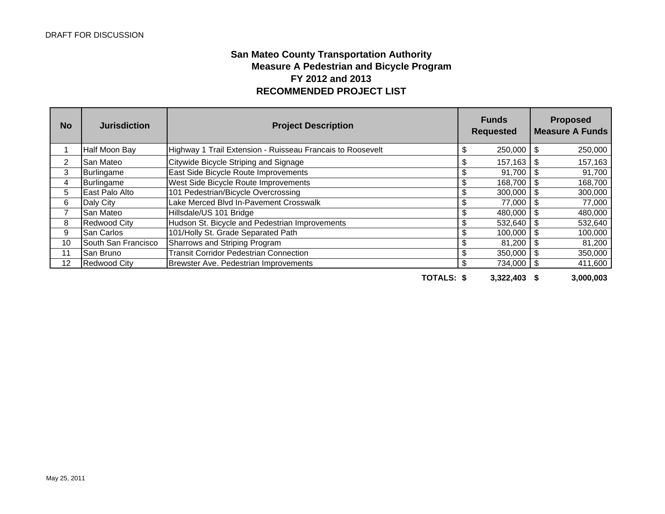# **San Mateo County Transportation Authority RECOMMENDED PROJECT LIST Measure A Pedestrian and Bicycle Program FY 2012 and 2013**

| <b>No</b> | <b>Jurisdiction</b> | <b>Project Description</b>                                 | <b>Funds</b><br><b>Requested</b> |              |     | <b>Proposed</b><br><b>Measure A Funds</b> |  |  |
|-----------|---------------------|------------------------------------------------------------|----------------------------------|--------------|-----|-------------------------------------------|--|--|
|           | Half Moon Bay       | Highway 1 Trail Extension - Ruisseau Francais to Roosevelt | \$                               | $250,000$ \$ |     | 250,000                                   |  |  |
| 2         | San Mateo           | Citywide Bicycle Striping and Signage                      | \$                               | $157,163$ \$ |     | 157,163                                   |  |  |
| 3         | Burlingame          | East Side Bicycle Route Improvements                       | \$                               | $91,700$ \$  |     | 91,700                                    |  |  |
| 4         | Burlingame          | West Side Bicycle Route Improvements                       | \$                               | 168,700      | -\$ | 168,700                                   |  |  |
| 5         | East Palo Alto      | 101 Pedestrian/Bicycle Overcrossing                        | \$                               | 300,000      | -\$ | 300,000                                   |  |  |
| 6         | Daly City           | Lake Merced Blvd In-Pavement Crosswalk                     | \$                               | 77,000       | Ĵ.  | 77,000                                    |  |  |
| 7         | <b>San Mateo</b>    | Hillsdale/US 101 Bridge                                    |                                  | 480,000      |     | 480,000                                   |  |  |
| 8         | <b>Redwood City</b> | Hudson St. Bicycle and Pedestrian Improvements             | \$                               | $532,640$ \$ |     | 532,640                                   |  |  |
| 9         | <b>San Carlos</b>   | 101/Holly St. Grade Separated Path                         | \$                               | $100,000$ \$ |     | 100,000                                   |  |  |
| 10        | South San Francisco | Sharrows and Striping Program                              |                                  | 81,200       |     | 81,200                                    |  |  |
| 11        | <b>San Bruno</b>    | <b>Transit Corridor Pedestrian Connection</b>              | \$                               | 350,000      | \$  | 350,000                                   |  |  |
| 12        | <b>Redwood City</b> | Brewster Ave. Pedestrian Improvements                      | \$                               | 734,000 \$   |     | 411,600                                   |  |  |
|           |                     | TOTALS: \$                                                 |                                  | 3,322,403    |     | 3,000,003                                 |  |  |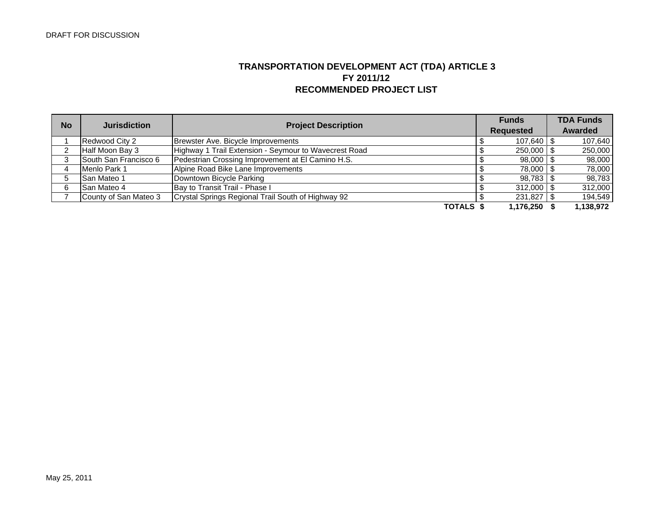# **TRANSPORTATION DEVELOPMENT ACT (TDA) ARTICLE 3 FY 2011/12 RECOMMENDED PROJECT LIST**

| <b>No</b> | <b>Jurisdiction</b>   | <b>Project Description</b>                            |  | <b>Funds</b>     |  | <b>TDA Funds</b> |  |
|-----------|-----------------------|-------------------------------------------------------|--|------------------|--|------------------|--|
|           |                       |                                                       |  | <b>Requested</b> |  | Awarded          |  |
|           | Redwood City 2        | Brewster Ave. Bicycle Improvements                    |  | 107.640 \$       |  | 107,640          |  |
|           | Half Moon Bay 3       | Highway 1 Trail Extension - Seymour to Wavecrest Road |  | $250,000$ \$     |  | 250,000          |  |
|           | South San Francisco 6 | Pedestrian Crossing Improvement at El Camino H.S.     |  | $98,000$ \$      |  | 98,000           |  |
|           | Menlo Park 1          | Alpine Road Bike Lane Improvements                    |  | 78,000 \$        |  | 78,000           |  |
|           | <b>San Mateo 1</b>    | Downtown Bicycle Parking                              |  | $98,783$ \$      |  | 98,783           |  |
|           | <b>San Mateo 4</b>    | Bay to Transit Trail - Phase I                        |  | $312,000$ \$     |  | 312,000          |  |
|           | County of San Mateo 3 | Crystal Springs Regional Trail South of Highway 92    |  | $231,827$ \$     |  | 194,549          |  |
|           |                       | TOTALS \$                                             |  | $1.176.250$ :    |  | 1,138,972        |  |